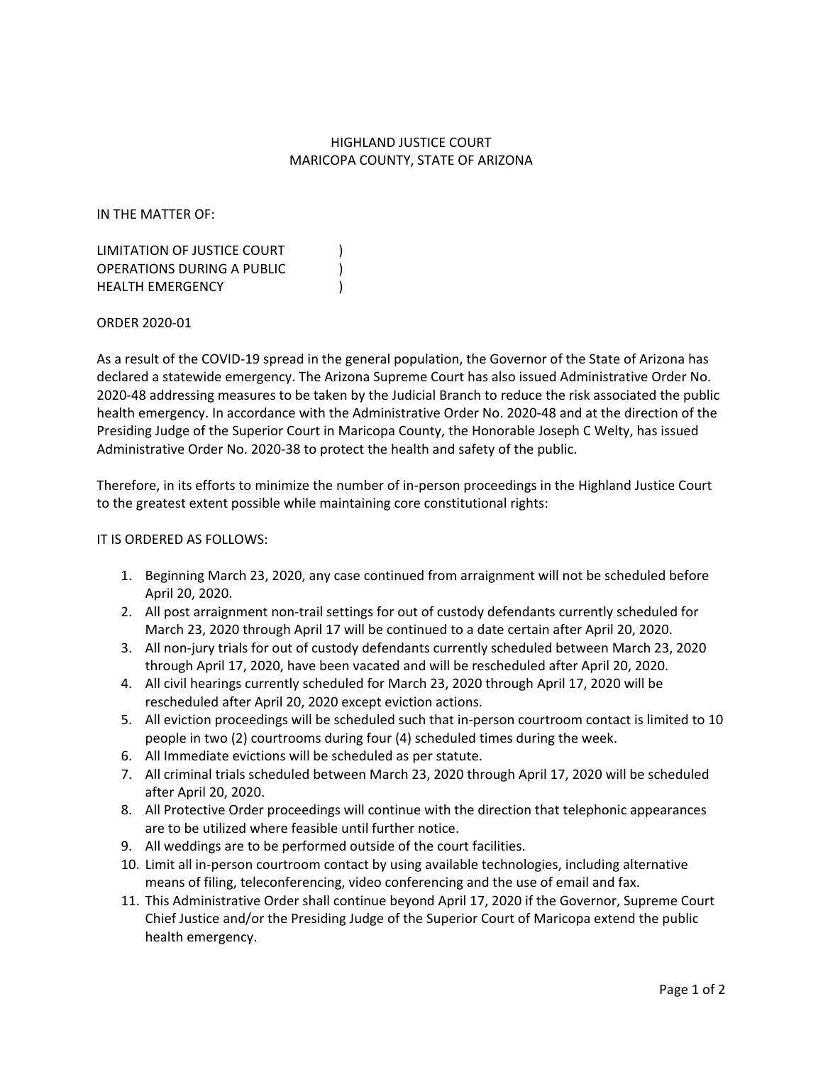## HIGHLAND JUSTICE COURT MARICOPA COUNTY, STATE OF ARIZONA

IN THE MATTER OF:

LIMITATION OF JUSTICE COURT (1) OPERATIONS DURING A PUBLIC ) HEALTH EMERGENCY (1999)

ORDER 2020-01

As a result of the COVID-19 spread in the general population, the Governor of the State of Arizona has declared a statewide emergency. The Arizona Supreme Court has also issued Administrative Order No. 2020-48 addressing measures to be taken by the Judicial Branch to reduce the risk associated the public health emergency. In accordance with the Administrative Order No. 2020-48 and at the direction of the Presiding Judge of the Superior Court in Maricopa County, the Honorable Joseph C Welty, has issued Administrative Order No. 2020-38 to protect the health and safety of the public.

Therefore, in its efforts to minimize the number of in-person proceedings in the Highland Justice Court to the greatest extent possible while maintaining core constitutional rights:

## IT IS ORDERED AS FOLLOWS:

- 1. Beginning March 23, 2020, any case continued from arraignment will not be scheduled before April 20, 2020.
- 2. All post arraignment non-trail settings for out of custody defendants currently scheduled for March 23, 2020 through April 17 will be continued to a date certain after April 20, 2020.
- 3. All non-jury trials for out of custody defendants currently scheduled between March 23, 2020 through April 17, 2020, have been vacated and will be rescheduled after April 20, 2020.
- 4. All civil hearings currently scheduled for March 23, 2020 through April 17, 2020 will be rescheduled after April 20, 2020 except eviction actions.
- 5. All eviction proceedings will be scheduled such that in-person courtroom contact is limited to 10 people in two (2) courtrooms during four (4) scheduled times during the week.
- 6. All Immediate evictions will be scheduled as per statute.
- 7. All criminal trials scheduled between March 23, 2020 through April 17, 2020 will be scheduled after April 20, 2020.
- 8. All Protective Order proceedings will continue with the direction that telephonic appearances are to be utilized where feasible until further notice.
- 9. All weddings are to be performed outside of the court facilities.
- 10. Limit all in-person courtroom contact by using available technologies, including alternative means of filing, teleconferencing, video conferencing and the use of email and fax.
- 11. This Administrative Order shall continue beyond April 17, 2020 if the Governor, Supreme Court Chief Justice and/or the Presiding Judge of the Superior Court of Maricopa extend the public health emergency.